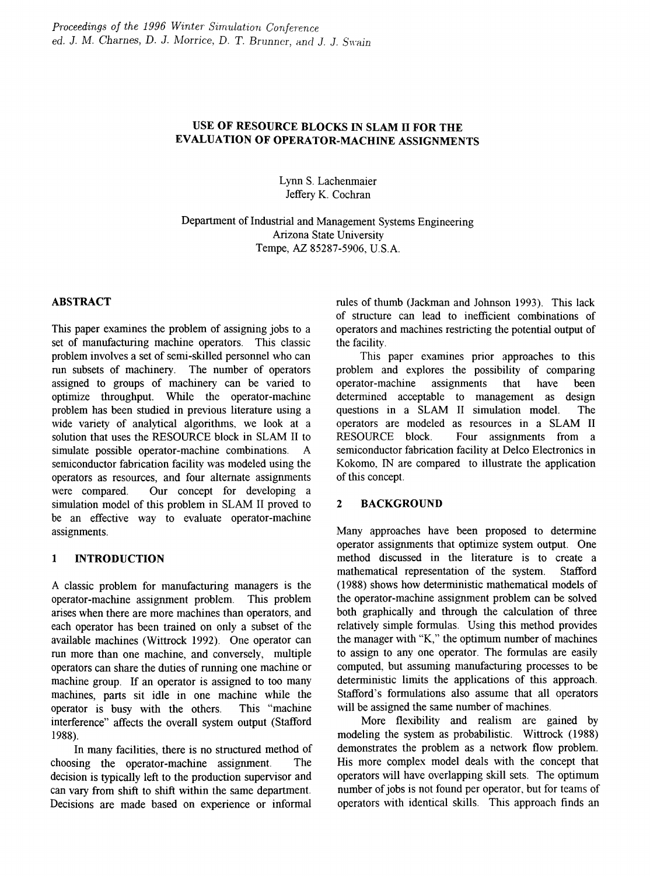# USE OF RESOURCE BLOCKS IN SLAM IT FOR THE EVALUATION OF OPERATOR-MACHINE ASSIGNMENTS

Lynn S. Lachenmaier Jeffery K. Cochran

Department of Industrial and Management Systems Engineering Arizona State University Tempe, AZ 85287-5906, U.S.A.

# ABSTRACT

This paper examines the problem of assigning jobs to a set of manufacturing machine operators. This classic problem involves a set of semi-skilled personnel who can run subsets of machinery. The number of operators assigned to groups of machinery can be varied to optimize throughput. While the operator-machine problem has been studied in previous literature using a wide variety of analytical algorithms, we look at a solution that uses the RESOURCE block in SLAM II to simulate possible operator-machine combinations. A semiconductor fabrication facility was modeled using the operators as resources, and four alternate assignments were compared. Our concept for developing a simulation model of this problem in SLAM II proved to be an effective way to evaluate operator-machine assignments.

# 1 INTRODUCTION

A classic problem for manufacturing managers is the operator-machine assignment problem. This problem arises when there are more machines than operators, and each operator has been trained on only a subset of the available machines (Wittrock 1992). One operator can run more than one machine, and conversely, multiple operators can share the duties of running one machine or machine group. If an operator is assigned to too many machines, parts sit idle in one machine while the operator is busy with the others. This "machine interference" affects the overall system output (Stafford 1988).

In many facilities, there is no structured method of choosing the operator-machine assignment. The decision is typically left to the production supervisor and can vary from shift to shift within the same department. Decisions are made based on experience or informal

rules of thumb (Jackman and Johnson 1993). This lack of structure can lead to inefficient combinations of operators and machines restricting the potential output of the facility.

This paper examines prior approaches to this problem and explores the possibility of comparing operator-machine assignments that have been determined acceptable to management as design questions in a SLAM II simulation model. The operators are modeled as resources in a SLAM II RESOURCE block. Four assignments from a semiconductor fabrication facility at Delco Electronics in Kokomo, IN are compared to illustrate the application of this concept.

## 2 BACKGROUND

Many approaches have been proposed to determine operator assignments that optimize system output. One method discussed in the literature is to create a mathematical representation of the system. Stafford (1988) shows how deterministic mathematical models of the operator-machine assignment problem can be solved both graphically and through the calculation of three relatively simple fonnulas. Using this method provides the manager with "K," the optimum number of machines to assign to any one operator. The formulas are easily computed, but assuming manufacturing processes to be deterministic limits the applications of this approach. Stafford's fonnulations also assume that all operators will be assigned the same number of machines.

More flexibility and realism are gained by modeling the system as probabilistic. Wittrock (1988) demonstrates the problem as a network flow problem. His more complex model deals with the concept that operators will have overlapping skill sets. The optimum number of jobs is not found per operator, but for teams of operators with identical skills. This approach finds an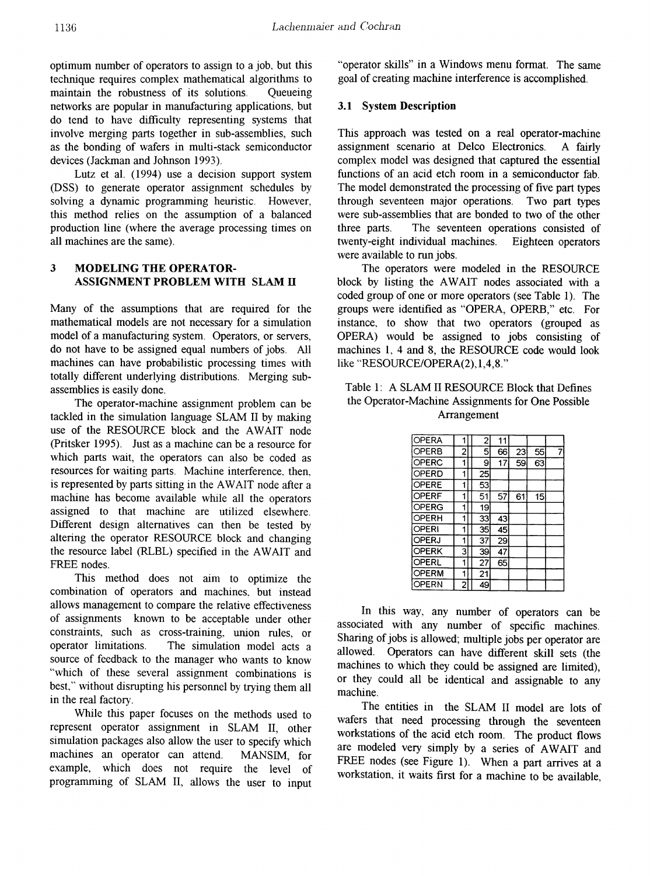optimum number of operators to assign to a job, but this technique requires complex mathematical algorithms to maintain the robustness of its solutions. Queueing networks are popular in manufacturing applications, but do tend to have difficulty representing systems that involve merging parts together in sub-assemblies, such as the bonding of wafers in multi-stack semiconductor devices (Jackman and Johnson 1993).

Lutz et al. (1994) use a decision support system (DSS) to generate operator assignment schedules by solving a dynamic programming heuristic. However, this method relies on the assumption of a balanced production line (where the average processing times on all machines are the same).

# 3 MODELING THE OPERATOR-ASSIGNMENT PROBLEM WITH SLAM II

Many of the assumptions that are required for the mathematical models are not necessary for a simulation model of a manufacturing system. Operators, or servers, do not have to be assigned equal numbers of jobs. All machines can have probabilistic processing times with totally different underlying distributions. Merging subassemblies is easily done.

The operator-machine assignment problem can be tackled in the simulation language SLAM II by making use of the RESOURCE block and the AWAIT node (pritsker 1995). Just as a machine can be a resource for which parts wait, the operators can also be coded as resources for waiting parts. Machine interference, then, is represented by parts sitting in the AWAIT node after a machine has become available while all the operators assigned to that machine are utilized elsewhere. Different design alternatives can then be tested by altering the operator RESOURCE block and changing the resource label (RLBL) specified in the AWAIT and FREE nodes.

This method does not aim to optimize the combination of operators and machines, but instead allows management to compare the relative effectiveness of assignments known to be acceptable under other constraints, such as cross-training, union rules, or operator limitations. The simulation model acts a source of feedback to the manager who wants to know "which of these several assignment combinations is best," without disrupting his personnel by trying them all in the real factory.

While this paper focuses on the methods used to represent operator assignment in SLAM II, other simulation packages also allow the user to specify which machines an operator can attend. MANSIM, for example, which does not require the level of programming of SLAM II, allows the user to input

"operator skills" in a Windows menu format. The same goal of creating machine interference is accomplished.

#### 3.1 System Description

This approach was tested on a real operator-machine assignment scenario at Delco Electronics. A fairly complex model was designed that captured the essential functions of an acid etch room in a semiconductor fab. The model demonstrated the processing of five part types through seventeen major operations. Two part types were sub-assemblies that are bonded to two of the other three parts. The seventeen operations consisted of twenty-eight individual machines. Eighteen operators were available to run jobs.

The operators were modeled in the RESOURCE block by listing the AWAIT nodes associated with a coded group of one or more operators (see Table 1). The groups were identified as "OPERA, OPERB," etc. For instance, to show that two operators (grouped as OPERA) would be assigned to jobs consisting of machines 1, 4 and 8, the RESOURCE code would look like "RESOURCE/OPERA(2),1,4,8."

## Table 1: A SLAM II RESOURCE Block that Defines the Operator-Machine Assignments for One Possible Arrangement

| OPERA        |                | 2  | 11 |    |    |   |
|--------------|----------------|----|----|----|----|---|
| OPERB        | 2              | 5  | 66 | 23 | 55 | 7 |
| OPERC        | 1              | 9  | 17 | 59 | 63 |   |
| OPERD        | 1              | 25 |    |    |    |   |
| OPERE        | 1              | 53 |    |    |    |   |
| OPERF        | 1              | 51 | 57 | 61 | 15 |   |
| OPERG        | 1              | 19 |    |    |    |   |
| OPERH        | 1              | 33 | 43 |    |    |   |
| OPERI        | 1              | 35 | 45 |    |    |   |
| OPERJ        | 1              | 37 | 29 |    |    |   |
| OPERK        | 3              | 39 | 47 |    |    |   |
| OPERL        | 1              | 27 | 65 |    |    |   |
| <b>OPERM</b> | 1              | 21 |    |    |    |   |
| OPERN        | $\overline{2}$ | 49 |    |    |    |   |

In this way, any number of operators can be associated with any number of specific machines. Sharing of jobs is allowed; multiple jobs per operator are allowed. Operators can have different skill sets (the machines to which they could be assigned are limited), or they could all be identical and assignable to any machine.

The entities in the SLAM II model are lots of wafers that need processing through the seventeen workstations of the acid etch room. The product flows are modeled very simply by a series of AWAIT and FREE nodes (see Figure 1). When a part arrives at a workstation, it waits first for a machine to be available,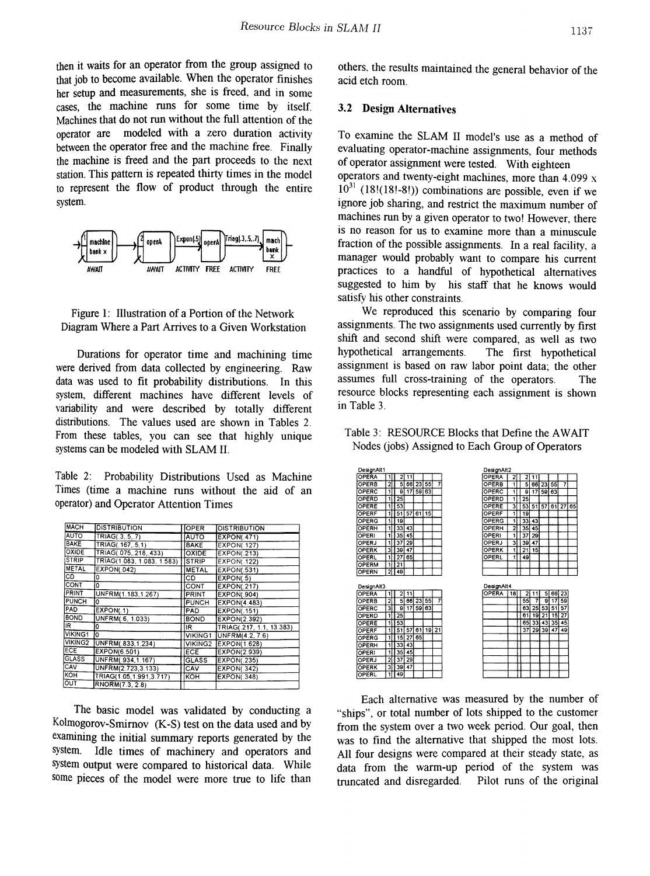then it waits for an operator from the group assigned to that job to become available. When the operator finishes her setup and measurements, she is freed, and in some cases, the machine runs for some time by itself. Machines that do not run without the full attention of the operator are modeled with a zero duration activity between the operator free and the machine free. Finally the machine is freed and the part proceeds to the next station. This pattern is repeated thirty times in the model to represent the flow of product through the entire system.



Figure 1: Illustration of a Portion of the Network Diagram Where a Part Arrives to a Given Workstation

Durations for operator time and machining time were derived from data collected by engineering. Raw data was used to fit probability distributions. In this system, different machines have different levels of variability and were described by totally different distributions. The values used are shown in Tables 2. From these tables, you can see that highly unique systems can be modeled with SLAM II.

Table 2: Probability Distributions Used as Machine Times (time a machine runs without the aid of an operator) and Operator Attention Times

| <b>MACH</b>      | <b>DISTRIBUTION</b>        | <b>OPER</b>         | <b>DISTRIBUTION</b>      |
|------------------|----------------------------|---------------------|--------------------------|
| AUTO <sup></sup> | TRIAG(.3.5.7)              | <b>AUTO</b>         | <b>EXPON(.471)</b>       |
| <b>BAKE</b>      | TRIAG(.167.5.1)            | <b>BAKE</b>         | <b>EXPON(.127)</b>       |
| OXIDE            | TRIAG( 075, 218, 433)      | <b>OXIDE</b>        | EXPON(.213)              |
| <b>STRIP</b>     | TRIAG(1.083, 1.083, 1.583) | <b>STRIP</b>        | <b>EXPON(.122)</b>       |
| <b>METAL</b>     | <b>EXPON(.042)</b>         | <b>METAL</b>        | <b>EXPON(.531)</b>       |
| СD               | ٥                          | CD                  | EXPON(.5)                |
| CONT             | ٥                          | CONT                | <b>EXPON(.217)</b>       |
| PRINT            | UNFRM(1.183.1.267)         | PRINT               | <b>EXPON(.904)</b>       |
| <b>PUNCH</b>     | ۱o                         | <b>PUNCH</b>        | EXPON(4.483)             |
| PAD              | EXPON(.1)                  | PAD                 | <b>EXPON(.151)</b>       |
| <b>BOND</b>      | UNFRM(.6, 1.033)           | <b>BOND</b>         | <b>EXPON(2.392)</b>      |
| IR.              | 0                          | IR.                 | TRIAG(.217, 1.1, 13.383) |
| <b>VIKING1</b>   | I٥                         | <b>VIKING1</b>      | UNFRM(4.2, 7.6)          |
| VIKING2          | UNFRM(.833,1.234)          | VIKING <sub>2</sub> | <b>EXPON(1.628)</b>      |
| ECE              | EXPON(6.501)               | ECE                 | EXPON(2.939)             |
| <b>GLASS</b>     | UNFRM(.934,1.167)          | <b>GLASS</b>        | <b>EXPON(.235)</b>       |
| CAV              | UNFRM(2.723,3.133)         | <b>ICAV</b>         | <b>EXPON(.342)</b>       |
| <b>KOH</b>       | TRIAG(1.05.1.991.3.717)    | KOH                 | <b>EXPON(.348)</b>       |
| OUT              | RNORM(7.3, 2.8)            |                     |                          |

The basic model was validated by conducting a Kolmogorov-Smimov (K-S) test on the data used and by examining the initial summary reports generated by the system. Idle times of machinery and operators and system output were compared to historical data. While some pieces of the model were more true to life than others, the results maintained the general behavior of the acid etch room.

### 3.2 Design Alternatives

To examine the SLAM II model's use as a method of evaluating operator-machine assignments, four methods of operator assignment were tested. With eighteen operators and twenty-eight machines, more than  $4.099 \text{ x}$  $10^{31}$  (18!(18!-8!)) combinations are possible, even if we ignore job sharing, and restrict the maximum number of machines run by a given operator to two! However, there is no reason for us to examine more than a minuscule fraction of the possible assignments. In a real facility, a manager would probably want to compare his current practices to a handful of hypothetical alternatives suggested to him by his staff that he knows would satisfy his other constraints.

We reproduced this scenario by comparing four assignments. The two assignments used currently by first shift and second shift were compared, as well as two hypothetical arrangements. The first hypothetical assignment is based on raw labor point data; the other assumes full cross-training of the operators. The resource blocks representing each assignment is shown in Table 3.



| DesignAll1   |                |                 |    |    |    |         | DesignAlt2   |                |                         |         |          |                 |                 |    |
|--------------|----------------|-----------------|----|----|----|---------|--------------|----------------|-------------------------|---------|----------|-----------------|-----------------|----|
| <b>OPERA</b> | 11             | 21              | 11 |    |    |         | OPERA        | 21             | $\overline{\mathbf{2}}$ | 11      |          |                 |                 |    |
| OPERB        | $\overline{2}$ | 51              | 66 | 23 | 55 | 7       | <b>OPERB</b> | 1              |                         | 5       | 66 23    | 55              | 7               |    |
| OPERC        | $\overline{1}$ | 9l              | 17 | 59 | 63 |         | OPERC        | $\blacksquare$ |                         | 17<br>9 | 59       | 63              |                 |    |
| OPERD        | 1              | $\overline{25}$ |    |    |    |         | OPERD        | 1              | 25                      |         |          |                 |                 |    |
| OPERE        | 1              | 53              |    |    |    |         | OPERE        | 3              | 53                      | 51      | 57       | 61              | 27              | 65 |
| OPERF        | 1              | 51              | 57 | 61 | 15 |         | OPERF        | 1              | 19                      |         |          |                 |                 |    |
| OPERG        | 11             | 19              |    |    |    |         | OPERG        | 1              | 33                      | 43      |          |                 |                 |    |
| OPERH        | 1              | 33              | 43 |    |    |         | OPERH        | 2              | 35                      | 45      |          |                 |                 |    |
| OPERI        | 1              | 35 I            | 45 |    |    |         | OPERI        | 1              | 37                      | 29      |          |                 |                 |    |
| OPERJ        | 1              | 37              | 29 |    |    |         | <b>OPERJ</b> | 3              | 39                      | 47      |          |                 |                 |    |
| OPERK        | зΙ             | 39              | 47 |    |    |         | OPERK        | 1              | $\overline{21}$         | 15      |          |                 |                 |    |
| OPERL        | 1              | 27              | 65 |    |    |         | OPERL        | 1              | 49                      |         |          |                 |                 |    |
| OPERM        | 1              | 21              |    |    |    |         |              |                |                         |         |          |                 |                 |    |
| <b>OPERN</b> | 2              | 49              |    |    |    |         |              |                |                         |         |          |                 |                 |    |
| DesignAlt3   |                |                 |    |    |    |         | DesignAlt4   |                |                         |         |          |                 |                 |    |
| <b>OPERA</b> | 11             | 21              | 11 |    |    |         | OPERA        | 18             |                         | 2<br>11 |          | 5 66            | 23              |    |
| OPERB        | $\overline{2}$ | 51              | 66 | 23 | 55 | 7       |              |                | 55                      | 7       | 9        | $\overline{17}$ | 59              |    |
| OPERC        | зΙ             | эI              | 17 | 59 | 63 |         |              |                | 631                     | 25      |          | 53 51           | $\overline{57}$ |    |
| OPERD        | 11             | $\overline{25}$ |    |    |    |         |              |                | 61                      |         | 19 21 15 |                 | 27              |    |
| OPERE        | 1              | 53              |    |    |    |         |              |                |                         | 65 33   |          | 43 35           | 45              |    |
| OPERF        |                | 51              | 57 | 61 |    | $19$ 21 |              |                | 37                      | 29      | 39       | 47              | 49              |    |
| OPERG        | 1              | 15 <sup>1</sup> | 27 | 65 |    |         |              |                |                         |         |          |                 |                 |    |
| OPERH        | 1              | 33              | 43 |    |    |         |              |                |                         |         |          |                 |                 |    |
| OPERI        | 1              | 35              | 45 |    |    |         |              |                |                         |         |          |                 |                 |    |
| OPERJ        | $\overline{a}$ | 37              | 29 |    |    |         |              |                |                         |         |          |                 |                 |    |
| OPERK        | 3              | 39              | 47 |    |    |         |              |                |                         |         |          |                 |                 |    |
| OPERL        | $\overline{1}$ | 49              |    |    |    |         |              |                |                         |         |          |                 |                 |    |

Each alternative was measured by the number of "ships", or total number of lots shipped to the customer from the system over a two week period. Our goal, then was to find the alternative that shipped the most lots. All four designs were compared at their steady state, as data from the warm-up period of the system was truncated and disregarded. Pilot runs of the original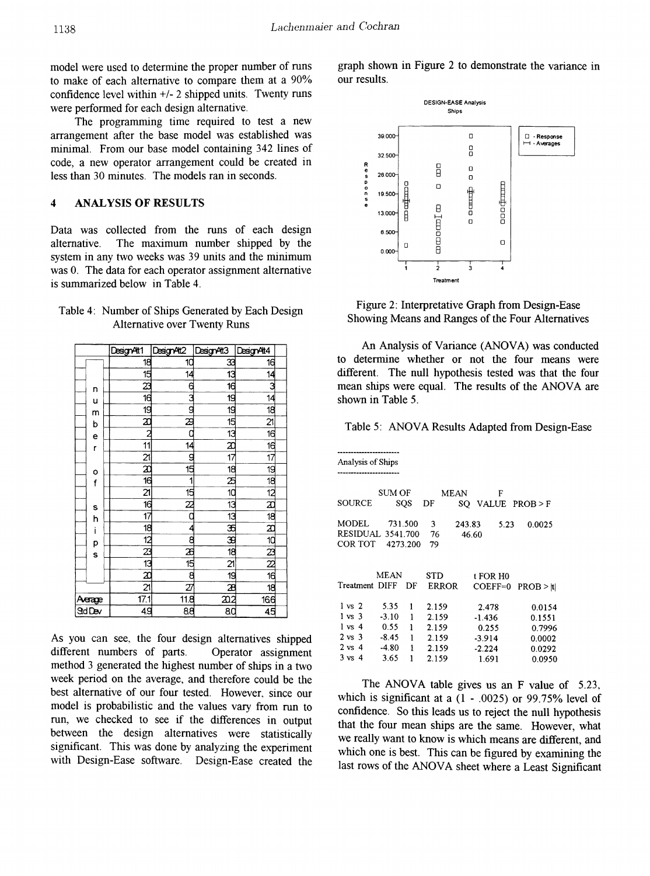model were used to determine the proper number of runs to make of each alternative to compare them at a 90% confidence level within +/- 2 shipped units. Twenty runs were performed for each design alternative.

The programming time required to test a new arrangement after the base model was established was minimal. From our base model containing 342 lines of code, a new operator arrangement could be created in less than 30 minutes. The models ran in seconds.

#### $\overline{\mathbf{4}}$ **ANALYSIS OF RESULTS**

Data was collected from the runs of each design The maximum number shipped by the alternative. system in any two weeks was 39 units and the minimum was 0. The data for each operator assignment alternative is summarized below in Table 4.

| Table 4: Number of Ships Generated by Each Design |
|---------------------------------------------------|
| <b>Alternative over Twenty Runs</b>               |

|                | DesignAt1         | DesignAt2       | Design At <sub>3</sub> | DesignAt4                          |  |
|----------------|-------------------|-----------------|------------------------|------------------------------------|--|
|                | 18                | 10              | 33                     | 16                                 |  |
|                |                   | 14              | 13                     | 14                                 |  |
| n              | l ಹೆ. ಡಿ. ಡೆ.     | 6               | 16                     | 3                                  |  |
| u              |                   | 3               | 19                     | $\overline{14}$                    |  |
|                |                   | 9               | 19                     | $\frac{1}{8}$                      |  |
| m<br>b         | $\frac{2}{2}$     | z               | 15                     | $\frac{21}{16}$                    |  |
| e              |                   |                 | 13                     |                                    |  |
| r              | 11                | 14              | $\frac{x}{17}$         | $\overline{16}$                    |  |
|                | $\overline{21}$   | g               |                        | $\overline{17}$                    |  |
|                | $\frac{1}{10}$    | 15              | 18                     | $\overline{19}$                    |  |
| o<br>f         |                   | 1               | $\frac{1}{10}$         | $\overline{18}$                    |  |
|                | $\overline{21}$   | 15              |                        | $\overline{12}$                    |  |
| s              | $\overline{16}$   | 22              | 13                     | $\frac{1}{10}$                     |  |
| h              | $\overline{17}$   |                 | $\overline{13}$        |                                    |  |
| i              | 18                | 4               |                        | $\overline{x}$                     |  |
|                | $\overline{12}$   | 8               | $\frac{1}{3}$          |                                    |  |
| p<br>s         | ಯ<br>ಶ            | z               | $\overline{18}$        | $\frac{10}{22}$<br>$\frac{22}{16}$ |  |
|                |                   | $\overline{15}$ | $\overline{2}$         |                                    |  |
|                |                   | 8               | 19                     |                                    |  |
|                | $\overline{21}$   | $\overline{z}$  | æ                      | $\overline{18}$                    |  |
| <u>Aerage</u>  | $\overline{17.1}$ | 118             | <u>202</u>             | 166                                |  |
| <b>Std Dev</b> | 49                | 88              | 80                     | 45                                 |  |

As you can see, the four design alternatives shipped different numbers of parts. Operator assignment method 3 generated the highest number of ships in a two week period on the average, and therefore could be the best alternative of our four tested. However, since our model is probabilistic and the values vary from run to run, we checked to see if the differences in output between the design alternatives were statistically significant. This was done by analyzing the experiment with Design-Ease software. Design-Ease created the graph shown in Figure 2 to demonstrate the variance in our results.



Figure 2: Interpretative Graph from Design-Ease Showing Means and Ranges of the Four Alternatives

An Analysis of Variance (ANOVA) was conducted to determine whether or not the four means were different. The null hypothesis tested was that the four mean ships were equal. The results of the ANOVA are shown in Table 5.

Table 5: ANOVA Results Adapted from Design-Ease

| Analysis of Ships        |         |          |              |             |          |      |                |
|--------------------------|---------|----------|--------------|-------------|----------|------|----------------|
|                          |         |          |              |             |          |      |                |
|                          |         |          |              |             |          |      |                |
|                          | SUM OF  |          |              | <b>MEAN</b> | F        |      |                |
| SOURCE                   |         | SQS      | DF           | SQ          |          |      | VALUE PROB > F |
|                          |         |          |              |             |          |      |                |
| MODEL                    |         | 731.500  | 3            | 243.83      |          | 5.23 | 0.0025         |
| <b>RESIDUAL 3541.700</b> |         |          | 76           |             | 46.60    |      |                |
| COR TOT                  |         | 4273.200 | 79           |             |          |      |                |
|                          |         |          |              |             |          |      |                |
|                          |         |          |              |             |          |      |                |
|                          | MEAN    |          | STD          |             | t FOR H0 |      |                |
| Treatment DIFF           |         | DF       | <b>ERROR</b> |             | COEFF=0  |      | PROB > H       |
|                          |         |          |              |             |          |      |                |
| $1 \text{ vs } 2$        | 5.35    | 1        | 2.159        |             | 2.478    |      | 0.0154         |
| 1 vs 3                   | $-3.10$ | 1        | 2.159        |             | -1.436   |      | 0.1551         |
| $1 \text{ vs } 4$        | 0.55    | 1        | 2.159        |             | 0.255    |      | 0.7996         |
| $2 \text{ vs } 3$        | -8.45   | 1        | 2.159        |             | $-3.914$ |      | 0.0002         |
| $2 \text{ vs } 4$        | $-4.80$ | 1        | 2.159        |             | $-2.224$ |      | 0.0292         |
| $3 \text{ vs } 4$        | 3.65    | 1        | 2.159        |             | 1.691    |      | 0.0950         |

The ANOVA table gives us an F value of 5.23, which is significant at a  $(1 - .0025)$  or 99.75% level of confidence. So this leads us to reject the null hypothesis that the four mean ships are the same. However, what we really want to know is which means are different, and which one is best. This can be figured by examining the last rows of the ANOVA sheet where a Least Significant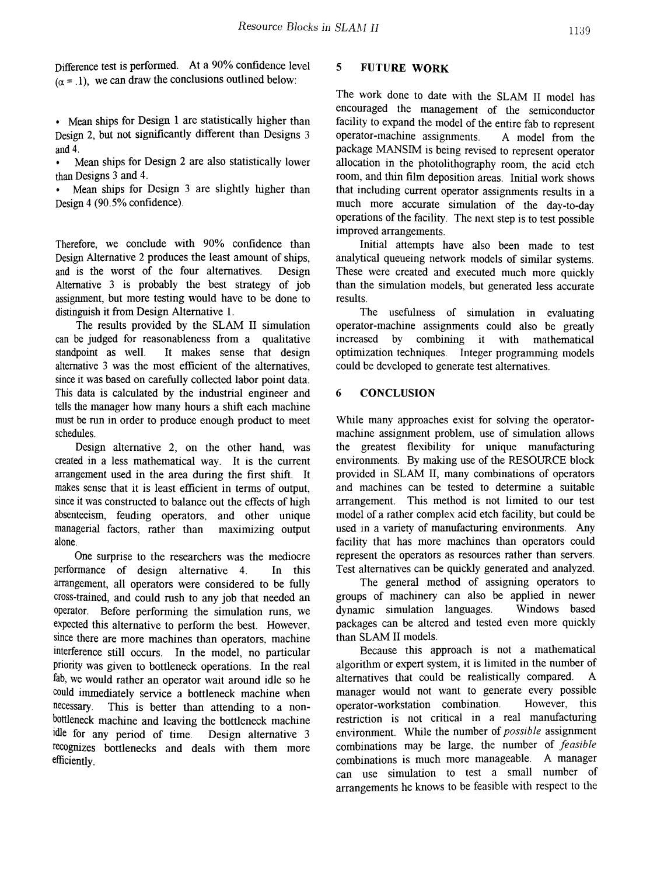Difference test is performed. At a 90% confidence level  $(\alpha = 1)$ , we can draw the conclusions outlined below:

• Mean ships for Design 1 are statistically higher than Design 2, but not significantly different than Designs 3 and 4.

Mean ships for Design 2 are also statistically lower than Designs 3 and 4.

Mean ships for Design 3 are slightly higher than Design  $4$  (90.5% confidence).

Therefore, we conclude with 90% confidence than Design Alternative 2 produces the least amount of ships, and is the worst of the four alternatives. Design Alternative 3 is probably the best strategy of job assignment, but more testing would have to be done to distinguish it from Design Alternative 1.

The results provided by the SLAM II simulation can be judged for reasonableness from a qualitative standpoint as well. It makes sense that design alternative 3 was the most efficient of the alternatives, since it was based on carefully collected labor point data. This data is calculated by the industrial engineer and tells the manager how many hours a shift each machine must be run in order to produce enough product to meet schedules.

Design alternative 2, on the other hand, was created in a less mathematical way. It is the current arrangement used in the area during the first shift. It makes sense that it is least efficient in terms of output, since it was constructed to balance out the effects of high absenteeism, feuding operators, and other unique managerial factors, rather than maximizing output alone.

One surprise to the researchers was the mediocre perfonnance of design alternative 4. In this arrangement, all operators were considered to be fully cross-trained, and could rush to any job that needed an operator. Before performing the simulation runs, we expected this alternative to perform the best. However, since there are more machines than operators, machine interference still occurs. In the model, no particular priority was given to bottleneck operations. In the real fab, we would rather an operator wait around idle so he could immediately service a bottleneck machine when<br>necessary. This is better than attending to a non-This is better than attending to a nonbottleneck machine and leaving the bottleneck machine idle for any period of time. Design alternative 3 recognizes bottlenecks and deals with them more efficiently.

# 5 FUTURE WORK

The work done to date with the SLAM II model has encouraged the management of the semiconductor facility to expand the model of the entire fab to represent operator-machine assignments. A model from the package MANSIM is being revised to represent operator allocation in the photolithography room, the acid etch room, and thin film deposition areas. Initial work shows that including current operator assignments results in a much more accurate simulation of the day-to-day operations of the facility. The next step is to test possible improved arrangements.

Initial attempts have also been made to test analytical queueing network models of similar systems. These were created and executed much more quickly than the simulation models, but generated less accurate results.

The usefulness of simulation in evaluating operator-machine assignments could also be greatly increased by combining it with mathematical optimization techniques. Integer programming models could be developed to generate test alternatives.

# 6 CONCLUSION

While many approaches exist for solving the operatormachine assignment problem, use of simulation allows the greatest flexibility for unique manufacturing environments. By making use of the RESOlJRCE block provided in SLAM II, many combinations of operators and machines can be tested to determine a suitable arrangement. This method is not limited to our test model of a rather complex acid etch facility, but could be used in a variety of manufacturing environments. Any facility that has more machines than operators could represent the operators as resources rather than servers. Test alternatives can be quickly generated and analyzed.

The general method of assigning operators to groups of machinery can also be applied in newer dynamic simulation languages. Windows based packages can be altered and tested even more quickly than SLAM II models.

Because this approach is not a mathematical algorithm or expert system, it is limited in the number of alternatives that could be realistically compared. A manager would not want to generate every possible operator-workstation combination. However, this restriction is not critical in a real manufacturing environment. While the number of *possible* assignment combinations may be large, the number of *feasible* combinations is much more manageable. A manager can use simulation to test a small number of arrangements he knows to be feasible with respect to the